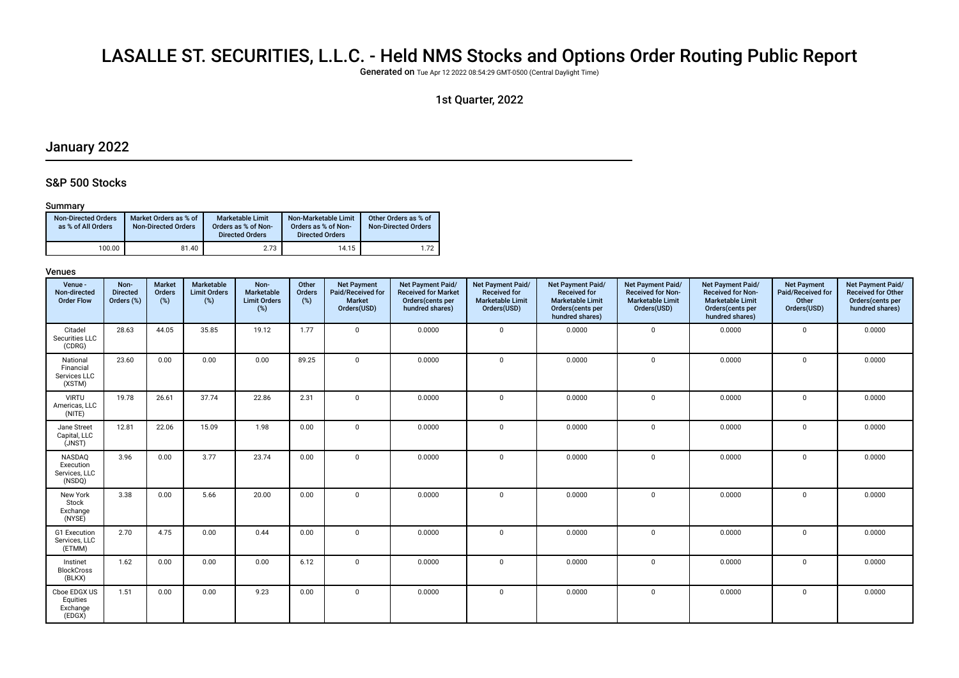# LASALLE ST. SECURITIES, L.L.C. - Held NMS Stocks and Options Order Routing Public Report

Generated on Tue Apr 12 2022 08:54:29 GMT-0500 (Central Daylight Time)

## 1st Quarter, 2022

# January 2022

### S&P 500 Stocks

### Summary

| <b>Non-Directed Orders</b><br>as % of All Orders | Market Orders as % of<br><b>Non-Directed Orders</b> | Marketable Limit<br>Orders as % of Non-<br><b>Directed Orders</b> | Non-Marketable Limit<br>Orders as % of Non-<br><b>Directed Orders</b> | Other Orders as % of<br><b>Non-Directed Orders</b> |
|--------------------------------------------------|-----------------------------------------------------|-------------------------------------------------------------------|-----------------------------------------------------------------------|----------------------------------------------------|
| 100.00                                           | 81.40                                               | 2.73                                                              | 14.15                                                                 | 1.72                                               |

| Venue -<br>Non-directed<br><b>Order Flow</b>    | Non-<br><b>Directed</b><br>Orders (%) | <b>Market</b><br>Orders<br>(%) | Marketable<br><b>Limit Orders</b><br>$(\%)$ | Non-<br>Marketable<br><b>Limit Orders</b><br>$(\%)$ | Other<br>Orders<br>$(\%)$ | <b>Net Payment</b><br>Paid/Received for<br>Market<br>Orders(USD) | Net Payment Paid/<br><b>Received for Market</b><br>Orders(cents per<br>hundred shares) | Net Payment Paid/<br><b>Received for</b><br><b>Marketable Limit</b><br>Orders(USD) | <b>Net Payment Paid/</b><br><b>Received for</b><br><b>Marketable Limit</b><br>Orders(cents per<br>hundred shares) | Net Payment Paid/<br><b>Received for Non-</b><br><b>Marketable Limit</b><br>Orders(USD) | Net Payment Paid/<br><b>Received for Non-</b><br><b>Marketable Limit</b><br>Orders(cents per<br>hundred shares) | <b>Net Payment</b><br>Paid/Received for<br>Other<br>Orders(USD) | Net Payment Paid/<br><b>Received for Other</b><br>Orders(cents per<br>hundred shares) |
|-------------------------------------------------|---------------------------------------|--------------------------------|---------------------------------------------|-----------------------------------------------------|---------------------------|------------------------------------------------------------------|----------------------------------------------------------------------------------------|------------------------------------------------------------------------------------|-------------------------------------------------------------------------------------------------------------------|-----------------------------------------------------------------------------------------|-----------------------------------------------------------------------------------------------------------------|-----------------------------------------------------------------|---------------------------------------------------------------------------------------|
| Citadel<br>Securities LLC<br>(CDRG)             | 28.63                                 | 44.05                          | 35.85                                       | 19.12                                               | 1.77                      | $\mathbf 0$                                                      | 0.0000                                                                                 | $\mathbf 0$                                                                        | 0.0000                                                                                                            | $\mathbf 0$                                                                             | 0.0000                                                                                                          | $\mathbf 0$                                                     | 0.0000                                                                                |
| National<br>Financial<br>Services LLC<br>(XSTM) | 23.60                                 | 0.00                           | 0.00                                        | 0.00                                                | 89.25                     | $\mathbf 0$                                                      | 0.0000                                                                                 | $\mathbf 0$                                                                        | 0.0000                                                                                                            | 0                                                                                       | 0.0000                                                                                                          | $\mathbf 0$                                                     | 0.0000                                                                                |
| <b>VIRTU</b><br>Americas, LLC<br>(NITE)         | 19.78                                 | 26.61                          | 37.74                                       | 22.86                                               | 2.31                      | $\mathbf{0}$                                                     | 0.0000                                                                                 | $\mathbf 0$                                                                        | 0.0000                                                                                                            | $\mathbf 0$                                                                             | 0.0000                                                                                                          | $\mathbf 0$                                                     | 0.0000                                                                                |
| Jane Street<br>Capital, LLC<br>(JNST)           | 12.81                                 | 22.06                          | 15.09                                       | 1.98                                                | 0.00                      | $\mathbf{0}$                                                     | 0.0000                                                                                 | $\mathbf{0}$                                                                       | 0.0000                                                                                                            | 0                                                                                       | 0.0000                                                                                                          | $\mathbf 0$                                                     | 0.0000                                                                                |
| NASDAQ<br>Execution<br>Services, LLC<br>(NSDQ)  | 3.96                                  | 0.00                           | 3.77                                        | 23.74                                               | 0.00                      | $\mathbf 0$                                                      | 0.0000                                                                                 | $\mathbf{0}$                                                                       | 0.0000                                                                                                            | $\mathbf 0$                                                                             | 0.0000                                                                                                          | $\mathbf 0$                                                     | 0.0000                                                                                |
| New York<br>Stock<br>Exchange<br>(NYSE)         | 3.38                                  | 0.00                           | 5.66                                        | 20.00                                               | 0.00                      | $\mathbf 0$                                                      | 0.0000                                                                                 | $\mathbf 0$                                                                        | 0.0000                                                                                                            | $\mathbf 0$                                                                             | 0.0000                                                                                                          | $\Omega$                                                        | 0.0000                                                                                |
| G1 Execution<br>Services, LLC<br>(ETMM)         | 2.70                                  | 4.75                           | 0.00                                        | 0.44                                                | 0.00                      | $\mathbf 0$                                                      | 0.0000                                                                                 | $\mathbf{0}$                                                                       | 0.0000                                                                                                            | 0                                                                                       | 0.0000                                                                                                          | $\Omega$                                                        | 0.0000                                                                                |
| Instinet<br><b>BlockCross</b><br>(BLKX)         | 1.62                                  | 0.00                           | 0.00                                        | 0.00                                                | 6.12                      | $\mathbf{0}$                                                     | 0.0000                                                                                 | $\mathbf 0$                                                                        | 0.0000                                                                                                            | 0                                                                                       | 0.0000                                                                                                          | $\mathbf 0$                                                     | 0.0000                                                                                |
| Cboe EDGX US<br>Equities<br>Exchange<br>(EDGX)  | 1.51                                  | 0.00                           | 0.00                                        | 9.23                                                | 0.00                      | $\mathbf 0$                                                      | 0.0000                                                                                 | $\mathbf 0$                                                                        | 0.0000                                                                                                            | 0                                                                                       | 0.0000                                                                                                          | $\mathbf 0$                                                     | 0.0000                                                                                |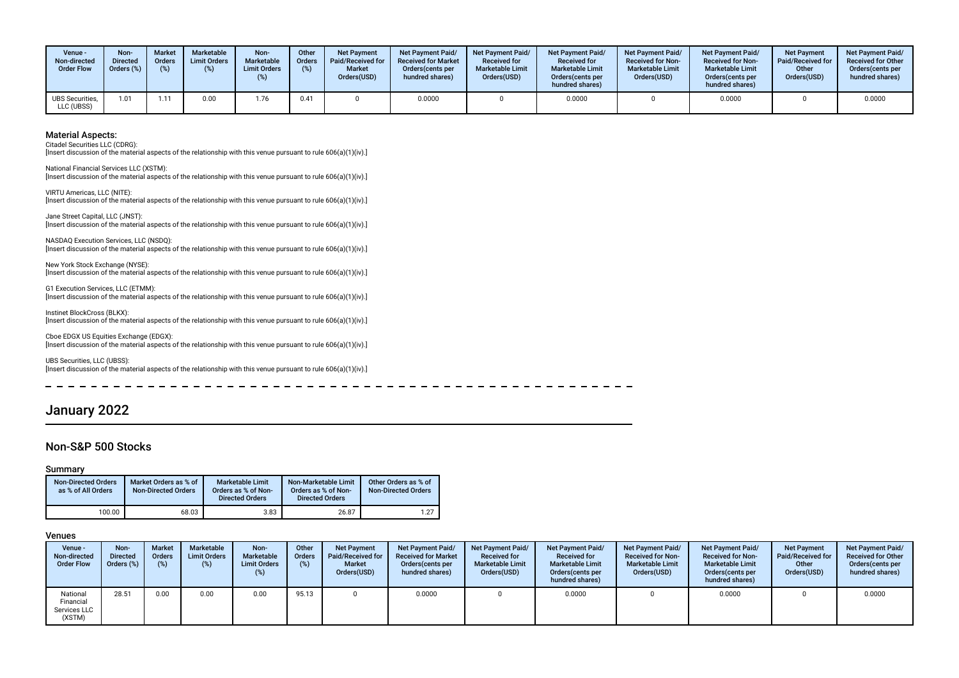| Venue -<br>Non-directed<br><b>Order Flow</b> | Non-<br><b>Directed</b><br>Orders (%) | <b>Market</b><br><b>Orders</b><br>(%) | <b>Marketable</b><br><b>Limit Orders</b><br>(%) | <b>Non-</b><br>Marketable<br><b>Limit Orders</b> | Other<br>Orders<br>(%) | <b>Net Payment</b><br>Paid/Received for<br><b>Market</b><br>Orders(USD) | Net Payment Paid/<br><b>Received for Market</b><br>Orders (cents per<br>hundred shares) | <b>Net Payment Paid/</b><br><b>Received for</b><br><b>Marketable Limit</b><br>Orders(USD) | <b>Net Payment Paid/</b><br><b>Received for</b><br><b>Marketable Limit</b><br>Orders(cents per<br>hundred shares) | <b>Net Payment Paid/</b><br><b>Received for Non-</b><br><b>Marketable Limit</b><br>Orders(USD) | <b>Net Payment Paid/</b><br><b>Received for Non-</b><br><b>Marketable Limit</b><br>Orders (cents per<br>hundred shares) | <b>Net Payment</b><br>Paid/Received for<br>Other<br>Orders(USD) | <b>Net Payment Paid/</b><br><b>Received for Other</b><br>Orders(cents per<br>hundred shares) |
|----------------------------------------------|---------------------------------------|---------------------------------------|-------------------------------------------------|--------------------------------------------------|------------------------|-------------------------------------------------------------------------|-----------------------------------------------------------------------------------------|-------------------------------------------------------------------------------------------|-------------------------------------------------------------------------------------------------------------------|------------------------------------------------------------------------------------------------|-------------------------------------------------------------------------------------------------------------------------|-----------------------------------------------------------------|----------------------------------------------------------------------------------------------|
| UBS Securities,<br>LLC (UBSS)                | 1.01                                  | 1.11                                  | 0.00                                            | 1.76                                             | 0.41                   |                                                                         | 0.0000                                                                                  |                                                                                           | 0.0000                                                                                                            |                                                                                                | 0.0000                                                                                                                  |                                                                 | 0.0000                                                                                       |

Citadel Securities LLC (CDRG):

[Insert discussion of the material aspects of the relationship with this venue pursuant to rule 606(a)(1)(iv).]

National Financial Services LLC (XSTM): [Insert discussion of the material aspects of the relationship with this venue pursuant to rule 606(a)(1)(iv).]

VIRTU Americas, LLC (NITE): [Insert discussion of the material aspects of the relationship with this venue pursuant to rule 606(a)(1)(iv).]

Jane Street Capital, LLC (JNST): [Insert discussion of the material aspects of the relationship with this venue pursuant to rule 606(a)(1)(iv).]

NASDAQ Execution Services, LLC (NSDQ): [Insert discussion of the material aspects of the relationship with this venue pursuant to rule 606(a)(1)(iv).]

New York Stock Exchange (NYSE): [Insert discussion of the material aspects of the relationship with this venue pursuant to rule 606(a)(1)(iv).]

G1 Execution Services, LLC (ETMM): [Insert discussion of the material aspects of the relationship with this venue pursuant to rule 606(a)(1)(iv).]

Instinet BlockCross (BLKX): [Insert discussion of the material aspects of the relationship with this venue pursuant to rule 606(a)(1)(iv).]

Cboe EDGX US Equities Exchange (EDGX): [Insert discussion of the material aspects of the relationship with this venue pursuant to rule 606(a)(1)(iv).]

UBS Securities, LLC (UBSS): [Insert discussion of the material aspects of the relationship with this venue pursuant to rule 606(a)(1)(iv).]

# January 2022

### Non-S&P 500 Stocks

#### Summary

| <b>Non-Directed Orders</b><br>as % of All Orders | Market Orders as % of<br><b>Non-Directed Orders</b> | Marketable Limit<br>Orders as % of Non-<br><b>Directed Orders</b> | Non-Marketable Limit<br>Orders as % of Non-<br><b>Directed Orders</b> | Other Orders as % of<br><b>Non-Directed Orders</b> |
|--------------------------------------------------|-----------------------------------------------------|-------------------------------------------------------------------|-----------------------------------------------------------------------|----------------------------------------------------|
| 100.00                                           | 68.03                                               | 3.83                                                              | 26.87                                                                 | 1.27                                               |

| Venue -<br>Non-directed<br><b>Order Flow</b>    | Non-<br><b>Directed</b><br>Orders (%) | <b>Market</b><br><b>Orders</b><br>(%) | Marketable<br><b>Limit Orders</b><br>(%) | Non-<br>Marketable<br><b>Limit Orders</b><br>(%) | Other<br>Orders<br>(%) | <b>Net Payment</b><br>Paid/Received for<br><b>Market</b><br>Orders(USD) | Net Payment Paid/<br><b>Received for Market</b><br>Orders (cents per<br>hundred shares) | Net Payment Paid/<br><b>Received for</b><br><b>Marketable Limit</b><br>Orders(USD) | <b>Net Payment Paid/</b><br><b>Received for</b><br><b>Marketable Limit</b><br>Orders (cents per<br>hundred shares) | <b>Net Payment Paid/</b><br><b>Received for Non-</b><br><b>Marketable Limit</b><br>Orders(USD) | Net Payment Paid/<br><b>Received for Non-</b><br><b>Marketable Limit</b><br>Orders (cents per<br>hundred shares) | <b>Net Payment</b><br>Paid/Received for<br>Other<br>Orders(USD) | <b>Net Payment Paid/</b><br><b>Received for Other</b><br>Orders (cents per<br>hundred shares) |
|-------------------------------------------------|---------------------------------------|---------------------------------------|------------------------------------------|--------------------------------------------------|------------------------|-------------------------------------------------------------------------|-----------------------------------------------------------------------------------------|------------------------------------------------------------------------------------|--------------------------------------------------------------------------------------------------------------------|------------------------------------------------------------------------------------------------|------------------------------------------------------------------------------------------------------------------|-----------------------------------------------------------------|-----------------------------------------------------------------------------------------------|
| National<br>Financial<br>Services LLC<br>(XSTM) | 28.51                                 | 0.00                                  | 0.00                                     | 0.00                                             | 95.13                  |                                                                         | 0.0000                                                                                  |                                                                                    | 0.0000                                                                                                             |                                                                                                | 0.0000                                                                                                           |                                                                 | 0.0000                                                                                        |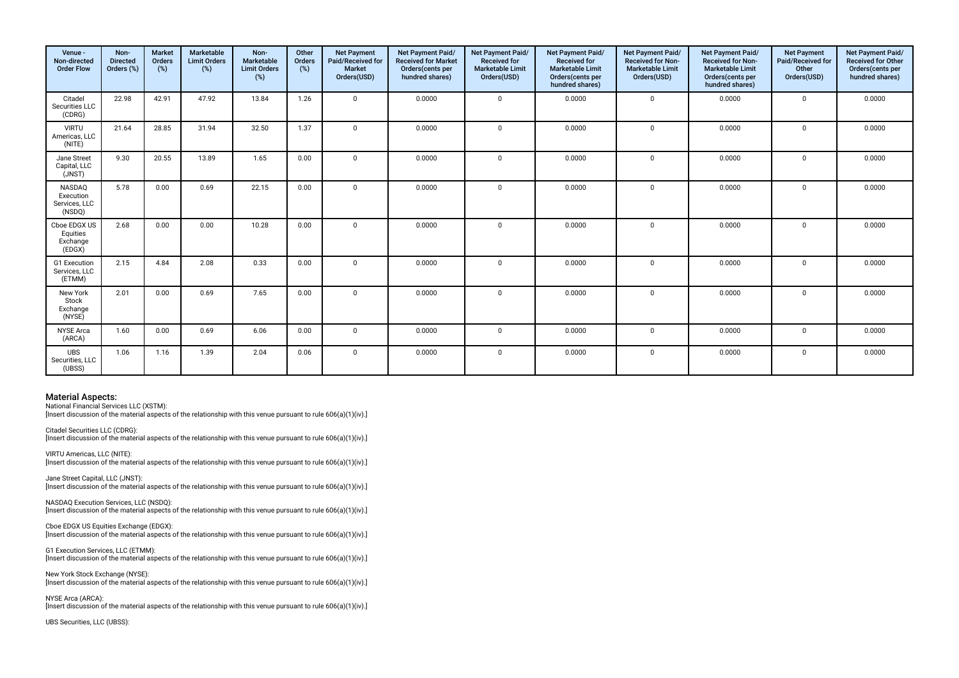| Venue -<br>Non-directed<br><b>Order Flow</b>          | Non-<br><b>Directed</b><br>Orders (%) | <b>Market</b><br>Orders<br>$(\%)$ | Marketable<br><b>Limit Orders</b><br>(%) | Non-<br>Marketable<br><b>Limit Orders</b><br>(%) | Other<br>Orders<br>$(\%)$ | <b>Net Payment</b><br>Paid/Received for<br><b>Market</b><br>Orders(USD) | Net Payment Paid/<br><b>Received for Market</b><br>Orders(cents per<br>hundred shares) | Net Payment Paid/<br><b>Received for</b><br><b>Marketable Limit</b><br>Orders(USD) | Net Payment Paid/<br><b>Received for</b><br><b>Marketable Limit</b><br>Orders(cents per<br>hundred shares) | Net Payment Paid/<br>Received for Non-<br><b>Marketable Limit</b><br>Orders(USD) | Net Payment Paid/<br><b>Received for Non-</b><br><b>Marketable Limit</b><br>Orders(cents per<br>hundred shares) | <b>Net Payment</b><br>Paid/Received for<br>Other<br>Orders(USD) | Net Payment Paid/<br><b>Received for Other</b><br>Orders(cents per<br>hundred shares) |
|-------------------------------------------------------|---------------------------------------|-----------------------------------|------------------------------------------|--------------------------------------------------|---------------------------|-------------------------------------------------------------------------|----------------------------------------------------------------------------------------|------------------------------------------------------------------------------------|------------------------------------------------------------------------------------------------------------|----------------------------------------------------------------------------------|-----------------------------------------------------------------------------------------------------------------|-----------------------------------------------------------------|---------------------------------------------------------------------------------------|
| Citadel<br>Securities LLC<br>(CDRG)                   | 22.98                                 | 42.91                             | 47.92                                    | 13.84                                            | 1.26                      | $\Omega$                                                                | 0.0000                                                                                 | $\mathbf 0$                                                                        | 0.0000                                                                                                     | $\mathbf 0$                                                                      | 0.0000                                                                                                          | $\mathbf 0$                                                     | 0.0000                                                                                |
| <b>VIRTU</b><br>Americas, LLC<br>(NITE)               | 21.64                                 | 28.85                             | 31.94                                    | 32.50                                            | 1.37                      | $\mathbf 0$                                                             | 0.0000                                                                                 | $\Omega$                                                                           | 0.0000                                                                                                     | $\mathbf{0}$                                                                     | 0.0000                                                                                                          | $\mathbf 0$                                                     | 0.0000                                                                                |
| Jane Street<br>Capital, LLC<br>(JNST)                 | 9.30                                  | 20.55                             | 13.89                                    | 1.65                                             | 0.00                      | $\Omega$                                                                | 0.0000                                                                                 | $\Omega$                                                                           | 0.0000                                                                                                     | $\mathbf 0$                                                                      | 0.0000                                                                                                          | $\mathbf 0$                                                     | 0.0000                                                                                |
| <b>NASDAQ</b><br>Execution<br>Services, LLC<br>(NSDQ) | 5.78                                  | 0.00                              | 0.69                                     | 22.15                                            | 0.00                      | $\Omega$                                                                | 0.0000                                                                                 | $\mathbf 0$                                                                        | 0.0000                                                                                                     | $\mathbf 0$                                                                      | 0.0000                                                                                                          | $\mathbf 0$                                                     | 0.0000                                                                                |
| Cboe EDGX US<br>Equities<br>Exchange<br>(EDGX)        | 2.68                                  | 0.00                              | 0.00                                     | 10.28                                            | 0.00                      | $\Omega$                                                                | 0.0000                                                                                 | $\Omega$                                                                           | 0.0000                                                                                                     | $\mathbf 0$                                                                      | 0.0000                                                                                                          | $\mathbf 0$                                                     | 0.0000                                                                                |
| <b>G1</b> Execution<br>Services, LLC<br>(ETMM)        | 2.15                                  | 4.84                              | 2.08                                     | 0.33                                             | 0.00                      | $\mathbf 0$                                                             | 0.0000                                                                                 | $\mathbf 0$                                                                        | 0.0000                                                                                                     | $\mathbf 0$                                                                      | 0.0000                                                                                                          | $\mathbf 0$                                                     | 0.0000                                                                                |
| New York<br>Stock<br>Exchange<br>(NYSE)               | 2.01                                  | 0.00                              | 0.69                                     | 7.65                                             | 0.00                      | $\Omega$                                                                | 0.0000                                                                                 | $\mathbf 0$                                                                        | 0.0000                                                                                                     | $\mathbf 0$                                                                      | 0.0000                                                                                                          | $\mathbf 0$                                                     | 0.0000                                                                                |
| <b>NYSE Arca</b><br>(ARCA)                            | 1.60                                  | 0.00                              | 0.69                                     | 6.06                                             | 0.00                      | $\mathbf 0$                                                             | 0.0000                                                                                 | $\mathbf 0$                                                                        | 0.0000                                                                                                     | $\mathbf 0$                                                                      | 0.0000                                                                                                          | $\mathbf 0$                                                     | 0.0000                                                                                |
| <b>UBS</b><br>Securities, LLC<br>(UBSS)               | 1.06                                  | 1.16                              | 1.39                                     | 2.04                                             | 0.06                      | $\mathbf{0}$                                                            | 0.0000                                                                                 | $\mathbf 0$                                                                        | 0.0000                                                                                                     | $\mathbf 0$                                                                      | 0.0000                                                                                                          | $\mathbf 0$                                                     | 0.0000                                                                                |

National Financial Services LLC (XSTM):

[Insert discussion of the material aspects of the relationship with this venue pursuant to rule 606(a)(1)(iv).]

Citadel Securities LLC (CDRG): [Insert discussion of the material aspects of the relationship with this venue pursuant to rule 606(a)(1)(iv).]

VIRTU Americas, LLC (NITE): [Insert discussion of the material aspects of the relationship with this venue pursuant to rule 606(a)(1)(iv).]

Jane Street Capital, LLC (JNST): [Insert discussion of the material aspects of the relationship with this venue pursuant to rule 606(a)(1)(iv).]

NASDAQ Execution Services, LLC (NSDQ): [Insert discussion of the material aspects of the relationship with this venue pursuant to rule 606(a)(1)(iv).]

Cboe EDGX US Equities Exchange (EDGX): [Insert discussion of the material aspects of the relationship with this venue pursuant to rule 606(a)(1)(iv).]

G1 Execution Services, LLC (ETMM): [Insert discussion of the material aspects of the relationship with this venue pursuant to rule 606(a)(1)(iv).]

New York Stock Exchange (NYSE): [Insert discussion of the material aspects of the relationship with this venue pursuant to rule 606(a)(1)(iv).]

NYSE Arca (ARCA): [Insert discussion of the material aspects of the relationship with this venue pursuant to rule 606(a)(1)(iv).]

UBS Securities, LLC (UBSS):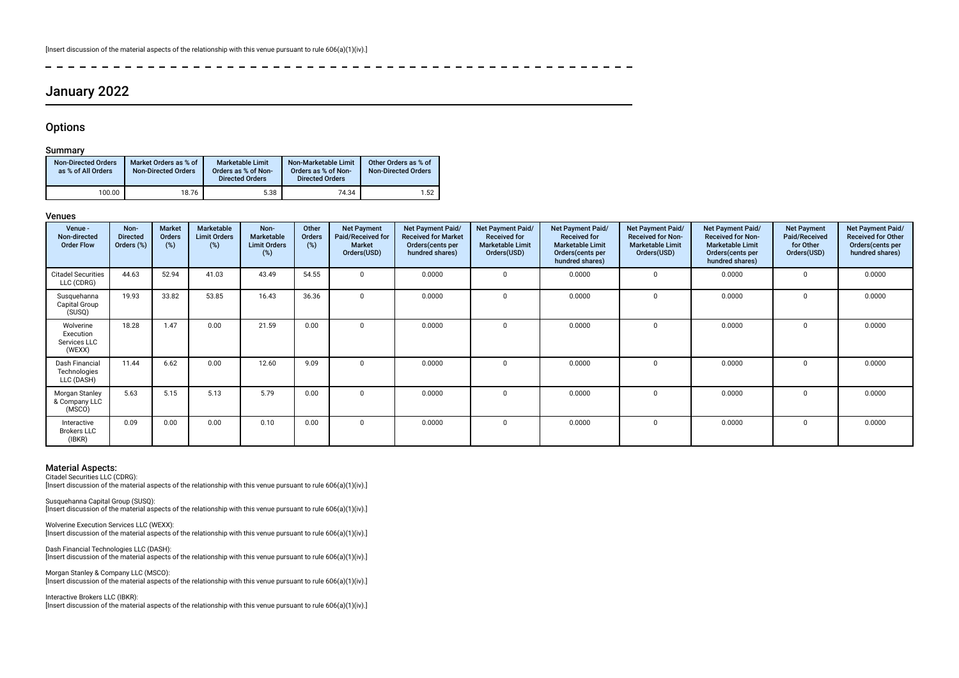# January 2022

### **Options**

 $\overline{a}$ 

### Summary

| <b>Non-Directed Orders</b><br>as % of All Orders | Market Orders as % of<br><b>Non-Directed Orders</b> | <b>Marketable Limit</b><br>Orders as % of Non-<br><b>Directed Orders</b> | Non-Marketable Limit<br>Orders as % of Non-<br><b>Directed Orders</b> | Other Orders as % of<br><b>Non-Directed Orders</b> |
|--------------------------------------------------|-----------------------------------------------------|--------------------------------------------------------------------------|-----------------------------------------------------------------------|----------------------------------------------------|
| 100.00                                           | 18.76                                               | 5.38                                                                     | 74.34                                                                 | 1.52                                               |

-----------

#### Venues

| Venue -<br>Non-directed<br><b>Order Flow</b>     | Non-<br><b>Directed</b><br>Orders (%) | Market<br>Orders<br>(%) | <b>Marketable</b><br><b>Limit Orders</b><br>$(\%)$ | Non-<br>Marketable<br><b>Limit Orders</b><br>(%) | Other<br><b>Orders</b><br>(%) | <b>Net Payment</b><br>Paid/Received for<br><b>Market</b><br>Orders(USD) | Net Payment Paid/<br><b>Received for Market</b><br>Orders (cents per<br>hundred shares) | Net Payment Paid/<br><b>Received for</b><br><b>Marketable Limit</b><br>Orders(USD) | Net Payment Paid/<br><b>Received for</b><br><b>Marketable Limit</b><br>Orders (cents per<br>hundred shares) | <b>Net Payment Paid/</b><br><b>Received for Non-</b><br><b>Marketable Limit</b><br>Orders(USD) | Net Payment Paid/<br><b>Received for Non-</b><br><b>Marketable Limit</b><br>Orders (cents per<br>hundred shares) | <b>Net Payment</b><br>Paid/Received<br>for Other<br>Orders(USD) | <b>Net Payment Paid/</b><br><b>Received for Other</b><br>Orders(cents per<br>hundred shares) |
|--------------------------------------------------|---------------------------------------|-------------------------|----------------------------------------------------|--------------------------------------------------|-------------------------------|-------------------------------------------------------------------------|-----------------------------------------------------------------------------------------|------------------------------------------------------------------------------------|-------------------------------------------------------------------------------------------------------------|------------------------------------------------------------------------------------------------|------------------------------------------------------------------------------------------------------------------|-----------------------------------------------------------------|----------------------------------------------------------------------------------------------|
| <b>Citadel Securities</b><br>LLC (CDRG)          | 44.63                                 | 52.94                   | 41.03                                              | 43.49                                            | 54.55                         | $\Omega$                                                                | 0.0000                                                                                  | $\Omega$                                                                           | 0.0000                                                                                                      | $\Omega$                                                                                       | 0.0000                                                                                                           | $\Omega$                                                        | 0.0000                                                                                       |
| Susquehanna<br>Capital Group<br>(SUSQ)           | 19.93                                 | 33.82                   | 53.85                                              | 16.43                                            | 36.36                         | $\Omega$                                                                | 0.0000                                                                                  | $\Omega$                                                                           | 0.0000                                                                                                      | $\Omega$                                                                                       | 0.0000                                                                                                           | $\Omega$                                                        | 0.0000                                                                                       |
| Wolverine<br>Execution<br>Services LLC<br>(WEXX) | 18.28                                 | 1.47                    | 0.00                                               | 21.59                                            | 0.00                          | $\Omega$                                                                | 0.0000                                                                                  | $\Omega$                                                                           | 0.0000                                                                                                      | $\Omega$                                                                                       | 0.0000                                                                                                           | $\Omega$                                                        | 0.0000                                                                                       |
| Dash Financial<br>Technologies<br>LLC (DASH)     | 11.44                                 | 6.62                    | 0.00                                               | 12.60                                            | 9.09                          | $\Omega$                                                                | 0.0000                                                                                  | $\Omega$                                                                           | 0.0000                                                                                                      | $\Omega$                                                                                       | 0.0000                                                                                                           | $\Omega$                                                        | 0.0000                                                                                       |
| Morgan Stanley<br>& Company LLC<br>(MSCO)        | 5.63                                  | 5.15                    | 5.13                                               | 5.79                                             | 0.00                          | $\Omega$                                                                | 0.0000                                                                                  | $\Omega$                                                                           | 0.0000                                                                                                      | $\Omega$                                                                                       | 0.0000                                                                                                           |                                                                 | 0.0000                                                                                       |
| Interactive<br><b>Brokers LLC</b><br>(IBKR)      | 0.09                                  | 0.00                    | 0.00                                               | 0.10                                             | 0.00                          | $\mathbf 0$                                                             | 0.0000                                                                                  | $\Omega$                                                                           | 0.0000                                                                                                      | $\mathbf 0$                                                                                    | 0.0000                                                                                                           |                                                                 | 0.0000                                                                                       |

 $- - - - - -$ 

### Material Aspects:

Citadel Securities LLC (CDRG): [Insert discussion of the material aspects of the relationship with this venue pursuant to rule 606(a)(1)(iv).]

Susquehanna Capital Group (SUSQ): [Insert discussion of the material aspects of the relationship with this venue pursuant to rule 606(a)(1)(iv).]

Wolverine Execution Services LLC (WEXX): [Insert discussion of the material aspects of the relationship with this venue pursuant to rule 606(a)(1)(iv).]

Dash Financial Technologies LLC (DASH): [Insert discussion of the material aspects of the relationship with this venue pursuant to rule 606(a)(1)(iv).]

Morgan Stanley & Company LLC (MSCO): [Insert discussion of the material aspects of the relationship with this venue pursuant to rule 606(a)(1)(iv).]

Interactive Brokers LLC (IBKR):

[Insert discussion of the material aspects of the relationship with this venue pursuant to rule 606(a)(1)(iv).]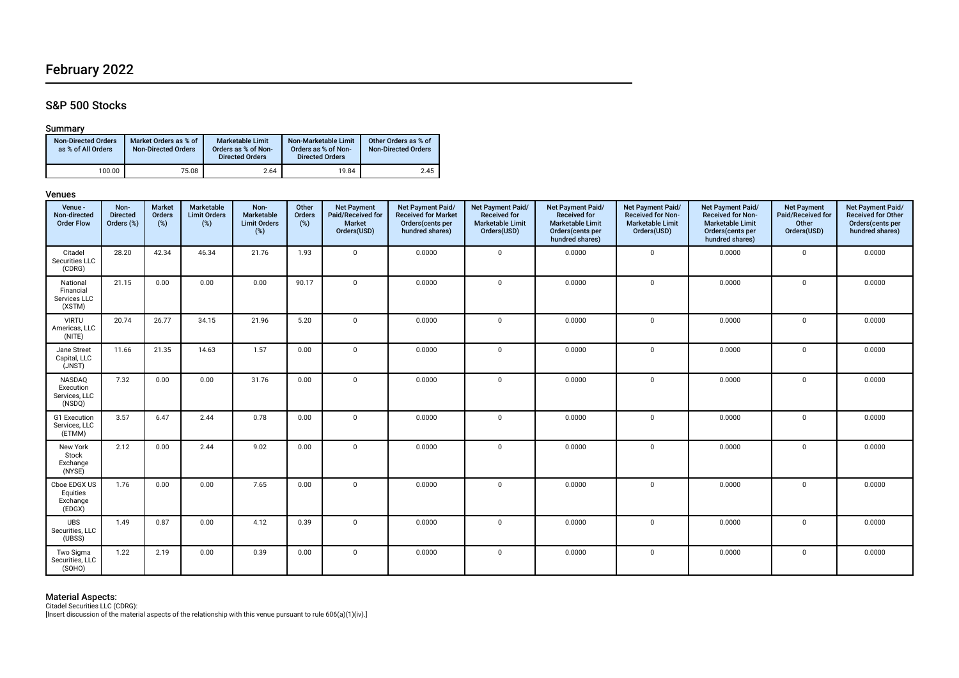# February 2022

### S&P 500 Stocks

### Summary

| <b>Non-Directed Orders</b><br>as % of All Orders | Market Orders as % of<br><b>Non-Directed Orders</b> | Marketable Limit<br>Orders as % of Non-<br><b>Directed Orders</b> | Non-Marketable Limit<br>Orders as % of Non-<br><b>Directed Orders</b> | Other Orders as % of<br><b>Non-Directed Orders</b> |
|--------------------------------------------------|-----------------------------------------------------|-------------------------------------------------------------------|-----------------------------------------------------------------------|----------------------------------------------------|
| 100.00                                           | 75.08                                               | 2.64                                                              | 19.84                                                                 | 2.45                                               |

### Venues

| Venue -<br>Non-directed<br><b>Order Flow</b>    | Non-<br><b>Directed</b><br>Orders (%) | Market<br>Orders<br>(%) | Marketable<br><b>Limit Orders</b><br>(%) | Non-<br>Marketable<br><b>Limit Orders</b><br>$(\%)$ | Other<br>Orders<br>(%) | <b>Net Payment</b><br>Paid/Received for<br><b>Market</b><br>Orders(USD) | Net Payment Paid/<br><b>Received for Market</b><br>Orders(cents per<br>hundred shares) | Net Payment Paid/<br><b>Received for</b><br><b>Marketable Limit</b><br>Orders(USD) | Net Payment Paid/<br><b>Received for</b><br><b>Marketable Limit</b><br>Orders(cents per<br>hundred shares) | Net Payment Paid/<br>Received for Non-<br><b>Marketable Limit</b><br>Orders(USD) | Net Payment Paid/<br><b>Received for Non-</b><br><b>Marketable Limit</b><br>Orders(cents per<br>hundred shares) | <b>Net Payment</b><br>Paid/Received for<br>Other<br>Orders(USD) | Net Payment Paid/<br><b>Received for Other</b><br>Orders(cents per<br>hundred shares) |
|-------------------------------------------------|---------------------------------------|-------------------------|------------------------------------------|-----------------------------------------------------|------------------------|-------------------------------------------------------------------------|----------------------------------------------------------------------------------------|------------------------------------------------------------------------------------|------------------------------------------------------------------------------------------------------------|----------------------------------------------------------------------------------|-----------------------------------------------------------------------------------------------------------------|-----------------------------------------------------------------|---------------------------------------------------------------------------------------|
| Citadel<br>Securities LLC<br>(CDRG)             | 28.20                                 | 42.34                   | 46.34                                    | 21.76                                               | 1.93                   | $\mathbf 0$                                                             | 0.0000                                                                                 | $\mathbf 0$                                                                        | 0.0000                                                                                                     | $\mathbf 0$                                                                      | 0.0000                                                                                                          | $\mathbf 0$                                                     | 0.0000                                                                                |
| National<br>Financial<br>Services LLC<br>(XSTM) | 21.15                                 | 0.00                    | 0.00                                     | 0.00                                                | 90.17                  | $\mathbf{0}$                                                            | 0.0000                                                                                 | $\mathbf 0$                                                                        | 0.0000                                                                                                     | $\mathbf 0$                                                                      | 0.0000                                                                                                          | $\mathbf 0$                                                     | 0.0000                                                                                |
| <b>VIRTU</b><br>Americas, LLC<br>(NITE)         | 20.74                                 | 26.77                   | 34.15                                    | 21.96                                               | 5.20                   | $\overline{0}$                                                          | 0.0000                                                                                 | $\mathbf 0$                                                                        | 0.0000                                                                                                     | $\mathbf 0$                                                                      | 0.0000                                                                                                          | $\mathbf 0$                                                     | 0.0000                                                                                |
| Jane Street<br>Capital, LLC<br>(JNST)           | 11.66                                 | 21.35                   | 14.63                                    | 1.57                                                | 0.00                   | $\mathbf 0$                                                             | 0.0000                                                                                 | $\mathbf 0$                                                                        | 0.0000                                                                                                     | 0                                                                                | 0.0000                                                                                                          | $\mathbf 0$                                                     | 0.0000                                                                                |
| NASDAQ<br>Execution<br>Services, LLC<br>(NSDQ)  | 7.32                                  | 0.00                    | 0.00                                     | 31.76                                               | 0.00                   | $\overline{0}$                                                          | 0.0000                                                                                 | $\mathbf 0$                                                                        | 0.0000                                                                                                     | $\mathbf 0$                                                                      | 0.0000                                                                                                          | $\mathbf 0$                                                     | 0.0000                                                                                |
| G1 Execution<br>Services, LLC<br>(ETMM)         | 3.57                                  | 6.47                    | 2.44                                     | 0.78                                                | 0.00                   | $\mathbf 0$                                                             | 0.0000                                                                                 | $\mathbf 0$                                                                        | 0.0000                                                                                                     | $\mathbf{0}$                                                                     | 0.0000                                                                                                          | $\mathbf 0$                                                     | 0.0000                                                                                |
| New York<br>Stock<br>Exchange<br>(NYSE)         | 2.12                                  | 0.00                    | 2.44                                     | 9.02                                                | 0.00                   | $\mathbf{0}$                                                            | 0.0000                                                                                 | $\mathbf 0$                                                                        | 0.0000                                                                                                     | $\mathbf 0$                                                                      | 0.0000                                                                                                          | $\mathbf 0$                                                     | 0.0000                                                                                |
| Cboe EDGX US<br>Equities<br>Exchange<br>(EDGX)  | 1.76                                  | 0.00                    | 0.00                                     | 7.65                                                | 0.00                   | $\overline{0}$                                                          | 0.0000                                                                                 | $\mathbf 0$                                                                        | 0.0000                                                                                                     | $\mathbf 0$                                                                      | 0.0000                                                                                                          | $\mathbf 0$                                                     | 0.0000                                                                                |
| <b>UBS</b><br>Securities, LLC<br>(UBSS)         | 1.49                                  | 0.87                    | 0.00                                     | 4.12                                                | 0.39                   | $\mathbf{0}$                                                            | 0.0000                                                                                 | $\Omega$                                                                           | 0.0000                                                                                                     | $\mathbf 0$                                                                      | 0.0000                                                                                                          | $\mathbf 0$                                                     | 0.0000                                                                                |
| Two Sigma<br>Securities, LLC<br>(SOHO)          | 1.22                                  | 2.19                    | 0.00                                     | 0.39                                                | 0.00                   | $\mathbf{0}$                                                            | 0.0000                                                                                 | $\Omega$                                                                           | 0.0000                                                                                                     | $\mathbf{0}$                                                                     | 0.0000                                                                                                          | $\mathbf 0$                                                     | 0.0000                                                                                |

**Material Aspects:**<br>Citadel Securities LLC (CDRG):<br>[Insert discussion of the material aspects of the relationship with this venue pursuant to rule 606(a)(1)(iv).]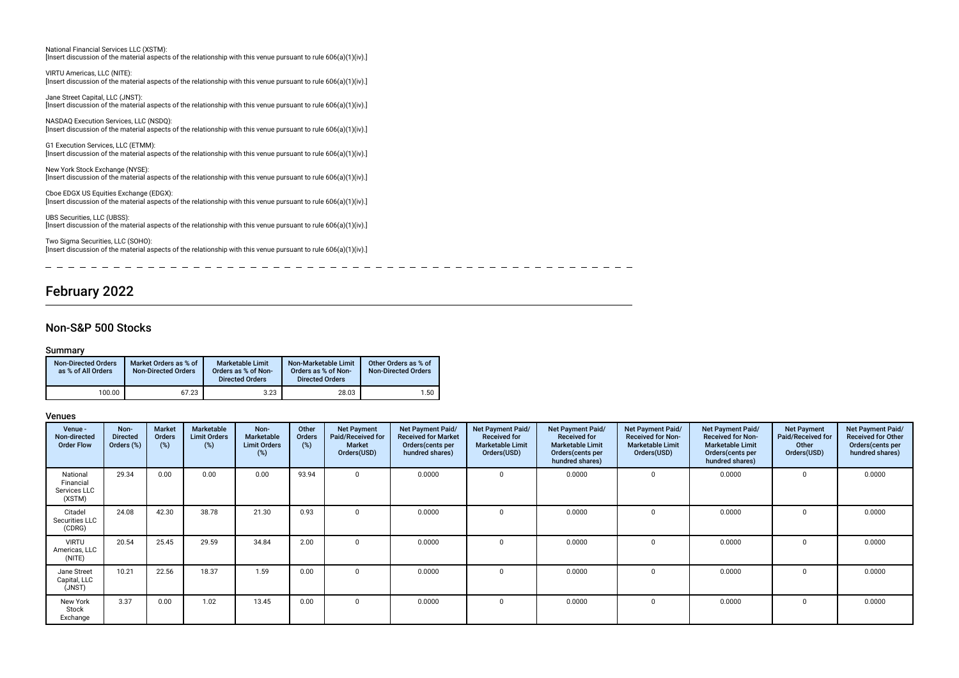| National Financial Services LLC (XSTM):<br>[Insert discussion of the material aspects of the relationship with this venue pursuant to rule $606(a)(1)(iv)$ .] |
|---------------------------------------------------------------------------------------------------------------------------------------------------------------|
| VIRTU Americas, LLC (NITE):<br>[Insert discussion of the material aspects of the relationship with this venue pursuant to rule $606(a)(1)(iv)$ .]             |
| Jane Street Capital, LLC (JNST):<br>[Insert discussion of the material aspects of the relationship with this venue pursuant to rule $606(a)(1)(iv)$ .]        |
| NASDAQ Execution Services, LLC (NSDQ):<br>[Insert discussion of the material aspects of the relationship with this venue pursuant to rule $606(a)(1)(iv)$ .]  |
| G1 Execution Services, LLC (ETMM):<br>[Insert discussion of the material aspects of the relationship with this venue pursuant to rule $606(a)(1)(iv)$ .]      |
| New York Stock Exchange (NYSE):<br>[Insert discussion of the material aspects of the relationship with this venue pursuant to rule $606(a)(1)(iv)$ .]         |
| Cboe EDGX US Equities Exchange (EDGX):<br>[Insert discussion of the material aspects of the relationship with this venue pursuant to rule $606(a)(1)(iv)$ .]  |
| UBS Securities, LLC (UBSS):<br>[Insert discussion of the material aspects of the relationship with this venue pursuant to rule $606(a)(1)(iv)$ .]             |
|                                                                                                                                                               |

 $\overline{a}$ 

Two Sigma Securities, LLC (SOHO): [Insert discussion of the material aspects of the relationship with this venue pursuant to rule 606(a)(1)(iv).]

 $=$   $-$ 

# February 2022

### Non-S&P 500 Stocks

### Summary

 $\sim$ 

| <b>Non-Directed Orders</b><br>as % of All Orders | Market Orders as % of<br><b>Non-Directed Orders</b> | <b>Marketable Limit</b><br>Orders as % of Non-<br><b>Directed Orders</b> | Non-Marketable Limit<br>Orders as % of Non-<br><b>Directed Orders</b> | Other Orders as % of<br><b>Non-Directed Orders</b> |
|--------------------------------------------------|-----------------------------------------------------|--------------------------------------------------------------------------|-----------------------------------------------------------------------|----------------------------------------------------|
| 100.00                                           | 67.23                                               | 3.23                                                                     | 28.03                                                                 | 1.50                                               |

--------------

### Venues

| Venue -<br>Non-directed<br><b>Order Flow</b>    | Non-<br><b>Directed</b><br>Orders (%) | <b>Market</b><br>Orders<br>(%) | Marketable<br><b>Limit Orders</b><br>$(\%)$ | Non-<br>Marketable<br><b>Limit Orders</b><br>(%) | Other<br>Orders<br>(%) | <b>Net Payment</b><br>Paid/Received for<br>Market<br>Orders(USD) | Net Payment Paid/<br><b>Received for Market</b><br>Orders (cents per<br>hundred shares) | Net Payment Paid/<br><b>Received for</b><br><b>Marketable Limit</b><br>Orders(USD) | Net Payment Paid/<br><b>Received for</b><br><b>Marketable Limit</b><br>Orders (cents per<br>hundred shares) | <b>Net Payment Paid/</b><br><b>Received for Non-</b><br><b>Marketable Limit</b><br>Orders(USD) | Net Payment Paid/<br><b>Received for Non-</b><br><b>Marketable Limit</b><br>Orders (cents per<br>hundred shares) | <b>Net Payment</b><br><b>Paid/Received for</b><br>Other<br>Orders(USD) | Net Payment Paid/<br><b>Received for Other</b><br>Orders(cents per<br>hundred shares) |
|-------------------------------------------------|---------------------------------------|--------------------------------|---------------------------------------------|--------------------------------------------------|------------------------|------------------------------------------------------------------|-----------------------------------------------------------------------------------------|------------------------------------------------------------------------------------|-------------------------------------------------------------------------------------------------------------|------------------------------------------------------------------------------------------------|------------------------------------------------------------------------------------------------------------------|------------------------------------------------------------------------|---------------------------------------------------------------------------------------|
| National<br>Financial<br>Services LLC<br>(XSTM) | 29.34                                 | 0.00                           | 0.00                                        | 0.00                                             | 93.94                  | $\Omega$                                                         | 0.0000                                                                                  | $\Omega$                                                                           | 0.0000                                                                                                      | $\Omega$                                                                                       | 0.0000                                                                                                           | $\Omega$                                                               | 0.0000                                                                                |
| Citadel<br>Securities LLC<br>(CDRG)             | 24.08                                 | 42.30                          | 38.78                                       | 21.30                                            | 0.93                   | $^{\circ}$                                                       | 0.0000                                                                                  | $\Omega$                                                                           | 0.0000                                                                                                      | $\mathbf 0$                                                                                    | 0.0000                                                                                                           | 0                                                                      | 0.0000                                                                                |
| <b>VIRTU</b><br>Americas, LLC<br>(NITE)         | 20.54                                 | 25.45                          | 29.59                                       | 34.84                                            | 2.00                   | $\Omega$                                                         | 0.0000                                                                                  | $\Omega$                                                                           | 0.0000                                                                                                      | $\mathbf 0$                                                                                    | 0.0000                                                                                                           | $\Omega$                                                               | 0.0000                                                                                |
| Jane Street<br>Capital, LLC<br>(JNST)           | 10.21                                 | 22.56                          | 18.37                                       | 1.59                                             | 0.00                   | $^{\circ}$                                                       | 0.0000                                                                                  | $\Omega$                                                                           | 0.0000                                                                                                      | 0                                                                                              | 0.0000                                                                                                           | $\mathbf 0$                                                            | 0.0000                                                                                |
| New York<br>Stock<br>Exchange                   | 3.37                                  | 0.00                           | 1.02                                        | 13.45                                            | 0.00                   | $\Omega$                                                         | 0.0000                                                                                  | $\Omega$                                                                           | 0.0000                                                                                                      | $\mathbf 0$                                                                                    | 0.0000                                                                                                           | $\Omega$                                                               | 0.0000                                                                                |

 $\sim$   $-$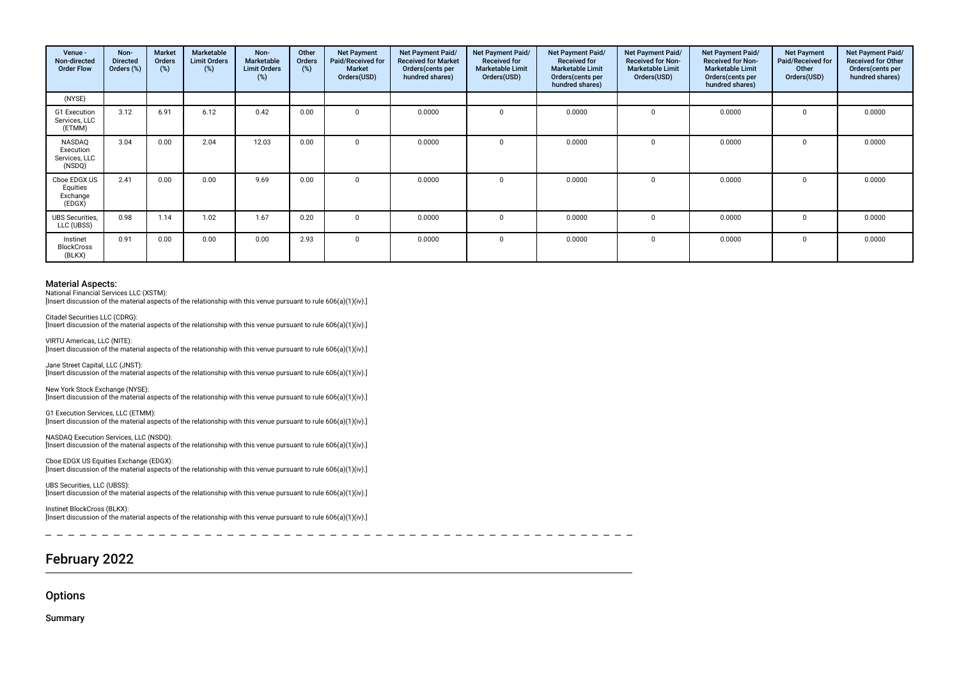| Venue -<br>Non-directed<br><b>Order Flow</b>   | Non-<br><b>Directed</b><br>Orders (%) | Market<br><b>Orders</b><br>(%) | Marketable<br><b>Limit Orders</b><br>$(\%)$ | Non-<br><b>Marketable</b><br><b>Limit Orders</b><br>(%) | Other<br>Orders<br>(%) | <b>Net Payment</b><br>Paid/Received for<br><b>Market</b><br>Orders(USD) | Net Payment Paid/<br><b>Received for Market</b><br>Orders (cents per<br>hundred shares) | <b>Net Payment Paid/</b><br><b>Received for</b><br><b>Marketable Limit</b><br>Orders(USD) | <b>Net Payment Paid/</b><br><b>Received for</b><br><b>Marketable Limit</b><br>Orders(cents per<br>hundred shares) | Net Payment Paid/<br><b>Received for Non-</b><br><b>Marketable Limit</b><br>Orders(USD) | <b>Net Payment Paid/</b><br><b>Received for Non-</b><br><b>Marketable Limit</b><br>Orders (cents per<br>hundred shares) | <b>Net Payment</b><br>Paid/Received for<br>Other<br>Orders(USD) | Net Payment Paid/<br><b>Received for Other</b><br>Orders(cents per<br>hundred shares) |
|------------------------------------------------|---------------------------------------|--------------------------------|---------------------------------------------|---------------------------------------------------------|------------------------|-------------------------------------------------------------------------|-----------------------------------------------------------------------------------------|-------------------------------------------------------------------------------------------|-------------------------------------------------------------------------------------------------------------------|-----------------------------------------------------------------------------------------|-------------------------------------------------------------------------------------------------------------------------|-----------------------------------------------------------------|---------------------------------------------------------------------------------------|
| (NYSE)                                         |                                       |                                |                                             |                                                         |                        |                                                                         |                                                                                         |                                                                                           |                                                                                                                   |                                                                                         |                                                                                                                         |                                                                 |                                                                                       |
| G1 Execution<br>Services, LLC<br>(ETMM)        | 3.12                                  | 6.91                           | 6.12                                        | 0.42                                                    | 0.00                   | U                                                                       | 0.0000                                                                                  | $\Omega$                                                                                  | 0.0000                                                                                                            | $\Omega$                                                                                | 0.0000                                                                                                                  | $\Omega$                                                        | 0.0000                                                                                |
| NASDAQ<br>Execution<br>Services, LLC<br>(NSDQ) | 3.04                                  | 0.00                           | 2.04                                        | 12.03                                                   | 0.00                   |                                                                         | 0.0000                                                                                  |                                                                                           | 0.0000                                                                                                            |                                                                                         | 0.0000                                                                                                                  | 0                                                               | 0.0000                                                                                |
| Cboe EDGX US<br>Equities<br>Exchange<br>(EDGX) | 2.41                                  | 0.00                           | 0.00                                        | 9.69                                                    | 0.00                   |                                                                         | 0.0000                                                                                  |                                                                                           | 0.0000                                                                                                            |                                                                                         | 0.0000                                                                                                                  | O                                                               | 0.0000                                                                                |
| <b>UBS</b> Securities,<br>LLC (UBSS)           | 0.98                                  | 1.14                           | 1.02                                        | 1.67                                                    | 0.20                   |                                                                         | 0.0000                                                                                  |                                                                                           | 0.0000                                                                                                            |                                                                                         | 0.0000                                                                                                                  | 0                                                               | 0.0000                                                                                |
| Instinet<br><b>BlockCross</b><br>(BLKX)        | 0.91                                  | 0.00                           | 0.00                                        | 0.00                                                    | 2.93                   |                                                                         | 0.0000                                                                                  | n                                                                                         | 0.0000                                                                                                            |                                                                                         | 0.0000                                                                                                                  | U                                                               | 0.0000                                                                                |

National Financial Services LLC (XSTM): [Insert discussion of the material aspects of the relationship with this venue pursuant to rule 606(a)(1)(iv).]

Citadel Securities LLC (CDRG): [Insert discussion of the material aspects of the relationship with this venue pursuant to rule 606(a)(1)(iv).]

VIRTU Americas, LLC (NITE): [Insert discussion of the material aspects of the relationship with this venue pursuant to rule 606(a)(1)(iv).]

Jane Street Capital, LLC (JNST): [Insert discussion of the material aspects of the relationship with this venue pursuant to rule 606(a)(1)(iv).]

New York Stock Exchange (NYSE): [Insert discussion of the material aspects of the relationship with this venue pursuant to rule 606(a)(1)(iv).]

G1 Execution Services, LLC (ETMM): [Insert discussion of the material aspects of the relationship with this venue pursuant to rule 606(a)(1)(iv).]

NASDAQ Execution Services, LLC (NSDQ): [Insert discussion of the material aspects of the relationship with this venue pursuant to rule 606(a)(1)(iv).]

Cboe EDGX US Equities Exchange (EDGX): [Insert discussion of the material aspects of the relationship with this venue pursuant to rule 606(a)(1)(iv).]

UBS Securities, LLC (UBSS): [Insert discussion of the material aspects of the relationship with this venue pursuant to rule 606(a)(1)(iv).]

Instinet BlockCross (BLKX): [Insert discussion of the material aspects of the relationship with this venue pursuant to rule 606(a)(1)(iv).]

# February 2022

**Options** 

Summary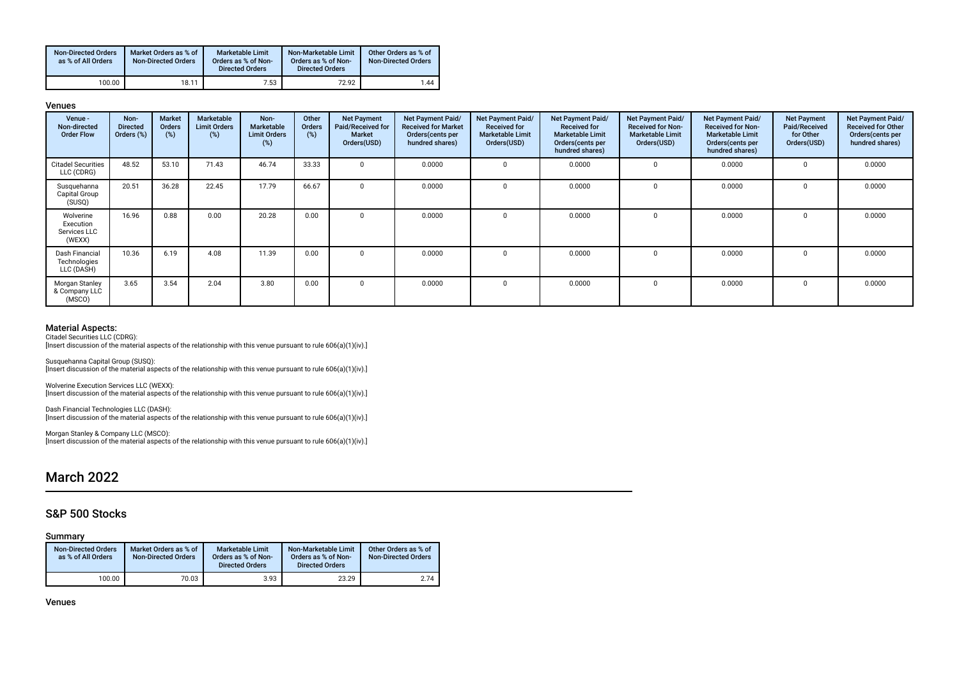| <b>Non-Directed Orders</b><br>as % of All Orders | Market Orders as % of<br><b>Non-Directed Orders</b> | <b>Marketable Limit</b><br>Orders as % of Non-<br><b>Directed Orders</b> | Non-Marketable Limit<br>Orders as % of Non-<br><b>Directed Orders</b> | Other Orders as % of<br><b>Non-Directed Orders</b> |
|--------------------------------------------------|-----------------------------------------------------|--------------------------------------------------------------------------|-----------------------------------------------------------------------|----------------------------------------------------|
| 100.00                                           | 18.11                                               | 7.53                                                                     | 72.92                                                                 | 1.44                                               |

#### Venues

| Venue -<br>Non-directed<br><b>Order Flow</b>     | Non-<br><b>Directed</b><br>Orders (%) | <b>Market</b><br><b>Orders</b><br>(%) | Marketable<br><b>Limit Orders</b><br>(%) | Non-<br><b>Marketable</b><br><b>Limit Orders</b><br>(%) | Other<br><b>Orders</b><br>(%) | <b>Net Payment</b><br>Paid/Received for<br><b>Market</b><br>Orders(USD) | Net Payment Paid/<br><b>Received for Market</b><br>Orders(cents per<br>hundred shares) | Net Payment Paid/<br><b>Received for</b><br><b>Marketable Limit</b><br>Orders(USD) | <b>Net Payment Paid/</b><br><b>Received for</b><br><b>Marketable Limit</b><br>Orders (cents per<br>hundred shares) | Net Payment Paid/<br><b>Received for Non-</b><br><b>Marketable Limit</b><br>Orders(USD) | Net Payment Paid/<br><b>Received for Non-</b><br><b>Marketable Limit</b><br>Orders (cents per<br>hundred shares) | <b>Net Payment</b><br>Paid/Received<br>for Other<br>Orders(USD) | Net Payment Paid/<br><b>Received for Other</b><br>Orders (cents per<br>hundred shares) |
|--------------------------------------------------|---------------------------------------|---------------------------------------|------------------------------------------|---------------------------------------------------------|-------------------------------|-------------------------------------------------------------------------|----------------------------------------------------------------------------------------|------------------------------------------------------------------------------------|--------------------------------------------------------------------------------------------------------------------|-----------------------------------------------------------------------------------------|------------------------------------------------------------------------------------------------------------------|-----------------------------------------------------------------|----------------------------------------------------------------------------------------|
| <b>Citadel Securities</b><br>LLC (CDRG)          | 48.52                                 | 53.10                                 | 71.43                                    | 46.74                                                   | 33.33                         |                                                                         | 0.0000                                                                                 | $\Omega$                                                                           | 0.0000                                                                                                             |                                                                                         | 0.0000                                                                                                           |                                                                 | 0.0000                                                                                 |
| Susquehanna<br>Capital Group<br>(SUSQ)           | 20.51                                 | 36.28                                 | 22.45                                    | 17.79                                                   | 66.67                         |                                                                         | 0.0000                                                                                 | $\Omega$                                                                           | 0.0000                                                                                                             |                                                                                         | 0.0000                                                                                                           |                                                                 | 0.0000                                                                                 |
| Wolverine<br>Execution<br>Services LLC<br>(WEXX) | 16.96                                 | 0.88                                  | 0.00                                     | 20.28                                                   | 0.00                          |                                                                         | 0.0000                                                                                 | $\Omega$                                                                           | 0.0000                                                                                                             | n                                                                                       | 0.0000                                                                                                           | $\Omega$                                                        | 0.0000                                                                                 |
| Dash Financial<br>Technologies<br>LLC (DASH)     | 10.36                                 | 6.19                                  | 4.08                                     | 11.39                                                   | 0.00                          |                                                                         | 0.0000                                                                                 | $\Omega$                                                                           | 0.0000                                                                                                             |                                                                                         | 0.0000                                                                                                           |                                                                 | 0.0000                                                                                 |
| Morgan Stanley<br>& Company LLC<br>(MSCO)        | 3.65                                  | 3.54                                  | 2.04                                     | 3.80                                                    | 0.00                          |                                                                         | 0.0000                                                                                 | $\Omega$                                                                           | 0.0000                                                                                                             | $\Omega$                                                                                | 0.0000                                                                                                           | $\Omega$                                                        | 0.0000                                                                                 |

### Material Aspects:

Citadel Securities LLC (CDRG):

Insert discussion of the material aspects of the relationship with this venue pursuant to rule 606(a)(1)(iv).]

Susquehanna Capital Group (SUSQ): [Insert discussion of the material aspects of the relationship with this venue pursuant to rule 606(a)(1)(iv).]

Wolverine Execution Services LLC (WEXX): [Insert discussion of the material aspects of the relationship with this venue pursuant to rule 606(a)(1)(iv).]

Dash Financial Technologies LLC (DASH): [Insert discussion of the material aspects of the relationship with this venue pursuant to rule 606(a)(1)(iv).]

Morgan Stanley & Company LLC (MSCO): [Insert discussion of the material aspects of the relationship with this venue pursuant to rule 606(a)(1)(iv).]

## March 2022

### S&P 500 Stocks

Summary

| <b>Non-Directed Orders</b><br>as % of All Orders | Market Orders as % of<br><b>Non-Directed Orders</b> | <b>Marketable Limit</b><br>Orders as % of Non-<br><b>Directed Orders</b> | Non-Marketable Limit<br>Orders as % of Non-<br><b>Directed Orders</b> | Other Orders as % of<br><b>Non-Directed Orders</b> |
|--------------------------------------------------|-----------------------------------------------------|--------------------------------------------------------------------------|-----------------------------------------------------------------------|----------------------------------------------------|
| 100.00                                           | 70.03                                               | 3.93                                                                     | 23.29                                                                 | 2.74                                               |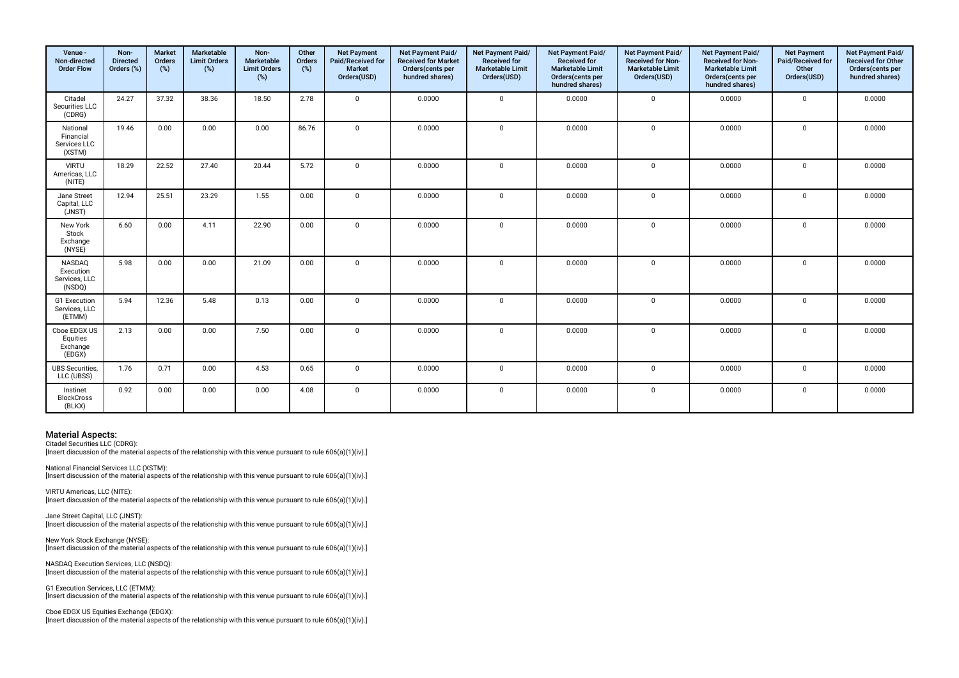| Venue -<br>Non-directed<br><b>Order Flow</b>          | Non-<br><b>Directed</b><br>Orders (%) | <b>Market</b><br>Orders<br>(%) | Marketable<br><b>Limit Orders</b><br>$(\%)$ | Non-<br>Marketable<br><b>Limit Orders</b><br>(%) | Other<br>Orders<br>(%) | <b>Net Payment</b><br>Paid/Received for<br>Market<br>Orders(USD) | Net Payment Paid/<br><b>Received for Market</b><br>Orders(cents per<br>hundred shares) | Net Payment Paid/<br>Received for<br><b>Marketable Limit</b><br>Orders(USD) | Net Payment Paid/<br>Received for<br><b>Marketable Limit</b><br>Orders(cents per<br>hundred shares) | Net Payment Paid/<br>Received for Non-<br><b>Marketable Limit</b><br>Orders(USD) | Net Payment Paid/<br>Received for Non-<br><b>Marketable Limit</b><br>Orders(cents per<br>hundred shares) | <b>Net Payment</b><br>Paid/Received for<br>Other<br>Orders(USD) | Net Payment Paid/<br>Received for Other<br>Orders(cents per<br>hundred shares) |
|-------------------------------------------------------|---------------------------------------|--------------------------------|---------------------------------------------|--------------------------------------------------|------------------------|------------------------------------------------------------------|----------------------------------------------------------------------------------------|-----------------------------------------------------------------------------|-----------------------------------------------------------------------------------------------------|----------------------------------------------------------------------------------|----------------------------------------------------------------------------------------------------------|-----------------------------------------------------------------|--------------------------------------------------------------------------------|
| Citadel<br>Securities LLC<br>(CDRG)                   | 24.27                                 | 37.32                          | 38.36                                       | 18.50                                            | 2.78                   | $\Omega$                                                         | 0.0000                                                                                 | $\mathbf 0$                                                                 | 0.0000                                                                                              | $\mathbf 0$                                                                      | 0.0000                                                                                                   | $\mathbf 0$                                                     | 0.0000                                                                         |
| National<br>Financial<br>Services LLC<br>(XSTM)       | 19.46                                 | 0.00                           | 0.00                                        | 0.00                                             | 86.76                  | $\Omega$                                                         | 0.0000                                                                                 | $\mathbf 0$                                                                 | 0.0000                                                                                              | $\mathbf 0$                                                                      | 0.0000                                                                                                   | $\Omega$                                                        | 0.0000                                                                         |
| <b>VIRTU</b><br>Americas, LLC<br>(NITE)               | 18.29                                 | 22.52                          | 27.40                                       | 20.44                                            | 5.72                   | $\Omega$                                                         | 0.0000                                                                                 | $\mathbf 0$                                                                 | 0.0000                                                                                              | $\mathbf 0$                                                                      | 0.0000                                                                                                   | $\Omega$                                                        | 0.0000                                                                         |
| Jane Street<br>Capital, LLC<br>(JNST)                 | 12.94                                 | 25.51                          | 23.29                                       | 1.55                                             | 0.00                   | $\Omega$                                                         | 0.0000                                                                                 | $\mathbf 0$                                                                 | 0.0000                                                                                              | $\mathbf 0$                                                                      | 0.0000                                                                                                   | $\mathbf 0$                                                     | 0.0000                                                                         |
| New York<br>Stock<br>Exchange<br>(NYSE)               | 6.60                                  | 0.00                           | 4.11                                        | 22.90                                            | 0.00                   | $\Omega$                                                         | 0.0000                                                                                 | $\mathbf 0$                                                                 | 0.0000                                                                                              | $\Omega$                                                                         | 0.0000                                                                                                   | $\Omega$                                                        | 0.0000                                                                         |
| <b>NASDAO</b><br>Execution<br>Services, LLC<br>(NSDQ) | 5.98                                  | 0.00                           | 0.00                                        | 21.09                                            | 0.00                   | $\Omega$                                                         | 0.0000                                                                                 | $\mathbf 0$                                                                 | 0.0000                                                                                              | $\mathbf 0$                                                                      | 0.0000                                                                                                   | $\Omega$                                                        | 0.0000                                                                         |
| G1 Execution<br>Services, LLC<br>(ETMM)               | 5.94                                  | 12.36                          | 5.48                                        | 0.13                                             | 0.00                   | $\Omega$                                                         | 0.0000                                                                                 | $\mathbf 0$                                                                 | 0.0000                                                                                              | $\mathbf 0$                                                                      | 0.0000                                                                                                   | $\Omega$                                                        | 0.0000                                                                         |
| Cboe EDGX US<br>Equities<br>Exchange<br>(EDGX)        | 2.13                                  | 0.00                           | 0.00                                        | 7.50                                             | 0.00                   | $\Omega$                                                         | 0.0000                                                                                 | $\mathbf 0$                                                                 | 0.0000                                                                                              | $\mathbf 0$                                                                      | 0.0000                                                                                                   | $\mathbf 0$                                                     | 0.0000                                                                         |
| <b>UBS Securities,</b><br>LLC (UBSS)                  | 1.76                                  | 0.71                           | 0.00                                        | 4.53                                             | 0.65                   | $\Omega$                                                         | 0.0000                                                                                 | $\mathbf 0$                                                                 | 0.0000                                                                                              | $\mathbf 0$                                                                      | 0.0000                                                                                                   | $\mathbf 0$                                                     | 0.0000                                                                         |
| Instinet<br><b>BlockCross</b><br>(BLKX)               | 0.92                                  | 0.00                           | 0.00                                        | 0.00                                             | 4.08                   | $\Omega$                                                         | 0.0000                                                                                 | $\mathbf 0$                                                                 | 0.0000                                                                                              | $\mathbf 0$                                                                      | 0.0000                                                                                                   | $^{\circ}$                                                      | 0.0000                                                                         |

Citadel Securities LLC (CDRG): [Insert discussion of the material aspects of the relationship with this venue pursuant to rule 606(a)(1)(iv).]

National Financial Services LLC (XSTM): [Insert discussion of the material aspects of the relationship with this venue pursuant to rule 606(a)(1)(iv).]

VIRTU Americas, LLC (NITE): Insert discussion of the material aspects of the relationship with this venue pursuant to rule 606(a)(1)(iv).]

Jane Street Capital, LLC (JNST): Insert discussion of the material aspects of the relationship with this venue pursuant to rule 606(a)(1)(iv).]

New York Stock Exchange (NYSE): [Insert discussion of the material aspects of the relationship with this venue pursuant to rule 606(a)(1)(iv).]

NASDAQ Execution Services, LLC (NSDQ): [Insert discussion of the material aspects of the relationship with this venue pursuant to rule  $606(a)(1)(iv)$ .]

G1 Execution Services, LLC (ETMM): [Insert discussion of the material aspects of the relationship with this venue pursuant to rule 606(a)(1)(iv).]

Cboe EDGX US Equities Exchange (EDGX): [Insert discussion of the material aspects of the relationship with this venue pursuant to rule 606(a)(1)(iv).]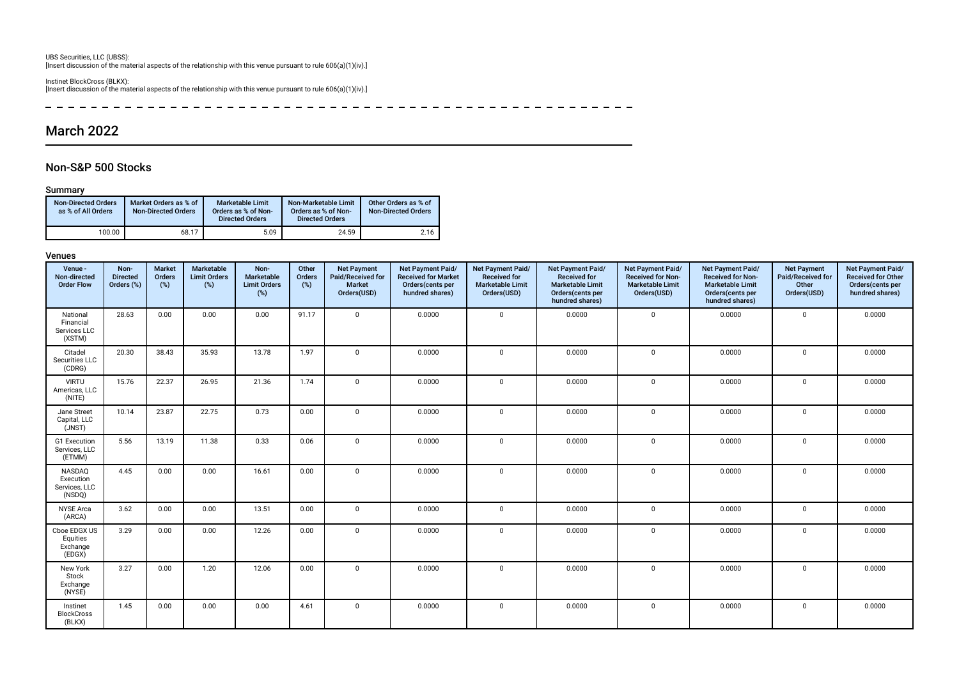UBS Securities, LLC (UBSS): [Insert discussion of the material aspects of the relationship with this venue pursuant to rule 606(a)(1)(iv).]

Instinet BlockCross (BLKX): [Insert discussion of the material aspects of the relationship with this venue pursuant to rule 606(a)(1)(iv).]

------------------------ $\rightarrow$ ------------------------

# March 2022

### Non-S&P 500 Stocks

### Summary

| <b>Non-Directed Orders</b><br>as % of All Orders | Market Orders as % of<br>Non-Directed Orders | Marketable Limit<br>Orders as % of Non-<br><b>Directed Orders</b> | Non-Marketable Limit<br>Orders as % of Non-<br><b>Directed Orders</b> | Other Orders as % of<br><b>Non-Directed Orders</b> |
|--------------------------------------------------|----------------------------------------------|-------------------------------------------------------------------|-----------------------------------------------------------------------|----------------------------------------------------|
| 100.00                                           | 68.17                                        | 5.09                                                              | 24.59                                                                 | 2.16                                               |

| Venue -<br>Non-directed<br><b>Order Flow</b>    | Non-<br><b>Directed</b><br>Orders (%) | <b>Market</b><br>Orders<br>(%) | Marketable<br><b>Limit Orders</b><br>(%) | Non-<br>Marketable<br><b>Limit Orders</b><br>(%) | Other<br>Orders<br>$(\%)$ | <b>Net Payment</b><br>Paid/Received for<br>Market<br>Orders(USD) | Net Payment Paid/<br><b>Received for Market</b><br>Orders(cents per<br>hundred shares) | Net Payment Paid/<br><b>Received for</b><br><b>Marketable Limit</b><br>Orders(USD) | Net Payment Paid/<br><b>Received for</b><br><b>Marketable Limit</b><br>Orders(cents per<br>hundred shares) | Net Payment Paid/<br>Received for Non-<br><b>Marketable Limit</b><br>Orders(USD) | Net Payment Paid/<br><b>Received for Non-</b><br><b>Marketable Limit</b><br>Orders(cents per<br>hundred shares) | <b>Net Payment</b><br>Paid/Received for<br>Other<br>Orders(USD) | Net Payment Paid/<br>Received for Other<br>Orders(cents per<br>hundred shares) |
|-------------------------------------------------|---------------------------------------|--------------------------------|------------------------------------------|--------------------------------------------------|---------------------------|------------------------------------------------------------------|----------------------------------------------------------------------------------------|------------------------------------------------------------------------------------|------------------------------------------------------------------------------------------------------------|----------------------------------------------------------------------------------|-----------------------------------------------------------------------------------------------------------------|-----------------------------------------------------------------|--------------------------------------------------------------------------------|
| National<br>Financial<br>Services LLC<br>(XSTM) | 28.63                                 | 0.00                           | 0.00                                     | 0.00                                             | 91.17                     | $\mathbf 0$                                                      | 0.0000                                                                                 | $\mathbf 0$                                                                        | 0.0000                                                                                                     | $\mathbf 0$                                                                      | 0.0000                                                                                                          | $\mathbf 0$                                                     | 0.0000                                                                         |
| Citadel<br>Securities LLC<br>(CDRG)             | 20.30                                 | 38.43                          | 35.93                                    | 13.78                                            | 1.97                      | $\mathbf 0$                                                      | 0.0000                                                                                 | $\mathsf 0$                                                                        | 0.0000                                                                                                     | 0                                                                                | 0.0000                                                                                                          | 0                                                               | 0.0000                                                                         |
| <b>VIRTU</b><br>Americas, LLC<br>(NITE)         | 15.76                                 | 22.37                          | 26.95                                    | 21.36                                            | 1.74                      | $\mathbf 0$                                                      | 0.0000                                                                                 | $\mathbf 0$                                                                        | 0.0000                                                                                                     | 0                                                                                | 0.0000                                                                                                          | 0                                                               | 0.0000                                                                         |
| Jane Street<br>Capital, LLC<br>(JNST)           | 10.14                                 | 23.87                          | 22.75                                    | 0.73                                             | 0.00                      | $\mathbf{0}$                                                     | 0.0000                                                                                 | $\mathsf 0$                                                                        | 0.0000                                                                                                     | 0                                                                                | 0.0000                                                                                                          | 0                                                               | 0.0000                                                                         |
| G1 Execution<br>Services, LLC<br>(ETMM)         | 5.56                                  | 13.19                          | 11.38                                    | 0.33                                             | 0.06                      | $\mathbf{0}$                                                     | 0.0000                                                                                 | $\mathbf 0$                                                                        | 0.0000                                                                                                     | 0                                                                                | 0.0000                                                                                                          | $\mathbf 0$                                                     | 0.0000                                                                         |
| NASDAQ<br>Execution<br>Services, LLC<br>(NSDQ)  | 4.45                                  | 0.00                           | 0.00                                     | 16.61                                            | 0.00                      | $\mathbf 0$                                                      | 0.0000                                                                                 | $\mathsf 0$                                                                        | 0.0000                                                                                                     | 0                                                                                | 0.0000                                                                                                          | 0                                                               | 0.0000                                                                         |
| <b>NYSE</b> Arca<br>(ARCA)                      | 3.62                                  | 0.00                           | 0.00                                     | 13.51                                            | 0.00                      | $\mathbf 0$                                                      | 0.0000                                                                                 | $\mathsf 0$                                                                        | 0.0000                                                                                                     | 0                                                                                | 0.0000                                                                                                          | 0                                                               | 0.0000                                                                         |
| Cboe EDGX US<br>Equities<br>Exchange<br>(EDGX)  | 3.29                                  | 0.00                           | 0.00                                     | 12.26                                            | 0.00                      | $\mathbf{0}$                                                     | 0.0000                                                                                 | $\mathbf 0$                                                                        | 0.0000                                                                                                     | 0                                                                                | 0.0000                                                                                                          | 0                                                               | 0.0000                                                                         |
| New York<br>Stock<br>Exchange<br>(NYSE)         | 3.27                                  | 0.00                           | 1.20                                     | 12.06                                            | 0.00                      | $\mathbf{0}$                                                     | 0.0000                                                                                 | $\mathbf 0$                                                                        | 0.0000                                                                                                     | 0                                                                                | 0.0000                                                                                                          | $\mathbf 0$                                                     | 0.0000                                                                         |
| Instinet<br><b>BlockCross</b><br>(BLKX)         | 1.45                                  | 0.00                           | 0.00                                     | 0.00                                             | 4.61                      | $\mathbf 0$                                                      | 0.0000                                                                                 | $\mathsf 0$                                                                        | 0.0000                                                                                                     | 0                                                                                | 0.0000                                                                                                          | 0                                                               | 0.0000                                                                         |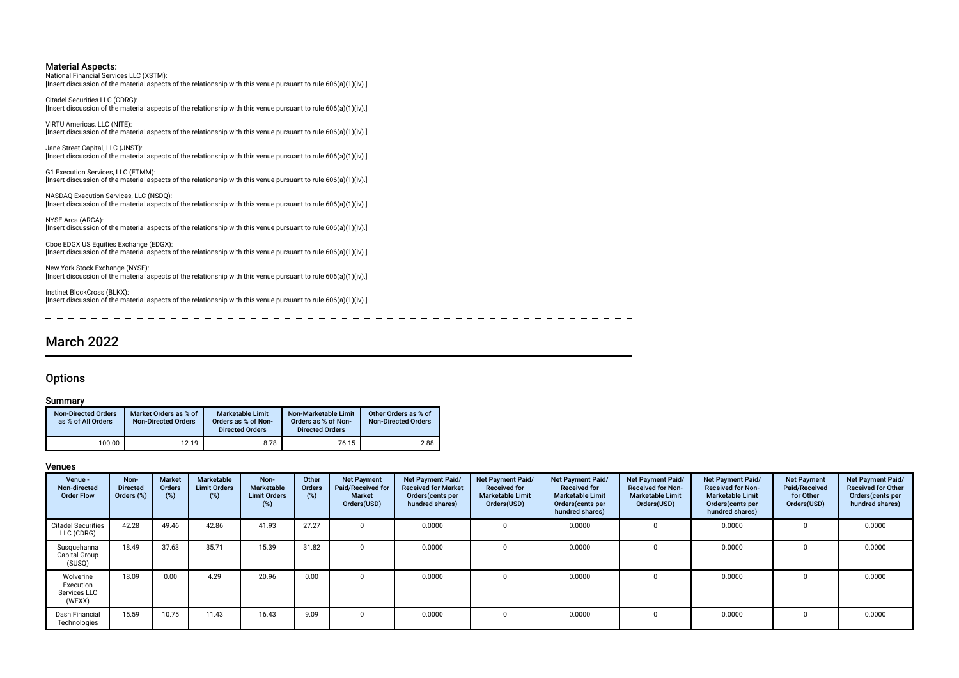National Financial Services LLC (XSTM): [Insert discussion of the material aspects of the relationship with this venue pursuant to rule 606(a)(1)(iv).]

Citadel Securities LLC (CDRG): [Insert discussion of the material aspects of the relationship with this venue pursuant to rule 606(a)(1)(iv).]

VIRTU Americas, LLC (NITE): [Insert discussion of the material aspects of the relationship with this venue pursuant to rule 606(a)(1)(iv).]

Jane Street Capital, LLC (JNST): [Insert discussion of the material aspects of the relationship with this venue pursuant to rule 606(a)(1)(iv).]

G1 Execution Services, LLC (ETMM): [Insert discussion of the material aspects of the relationship with this venue pursuant to rule 606(a)(1)(iv).]

NASDAQ Execution Services, LLC (NSDQ): [Insert discussion of the material aspects of the relationship with this venue pursuant to rule 606(a)(1)(iv).]

NYSE Arca (ARCA): [Insert discussion of the material aspects of the relationship with this venue pursuant to rule 606(a)(1)(iv).]

Cboe EDGX US Equities Exchange (EDGX): [Insert discussion of the material aspects of the relationship with this venue pursuant to rule 606(a)(1)(iv).]

New York Stock Exchange (NYSE): [Insert discussion of the material aspects of the relationship with this venue pursuant to rule 606(a)(1)(iv).]

Instinet BlockCross (BLKX): [Insert discussion of the material aspects of the relationship with this venue pursuant to rule 606(a)(1)(iv).]

# March 2022

### **Options**

### Summary

| <b>Non-Directed Orders</b><br>as % of All Orders | Market Orders as % of<br><b>Non-Directed Orders</b> | <b>Marketable Limit</b><br>Orders as % of Non-<br><b>Directed Orders</b> | Non-Marketable Limit<br>Orders as % of Non-<br><b>Directed Orders</b> | Other Orders as % of<br><b>Non-Directed Orders</b> |
|--------------------------------------------------|-----------------------------------------------------|--------------------------------------------------------------------------|-----------------------------------------------------------------------|----------------------------------------------------|
| 100.00                                           | 12.19                                               | 8.78                                                                     | 76.15                                                                 | 2.88                                               |

| Venue -<br>Non-directed<br><b>Order Flow</b>     | Non-<br><b>Directed</b><br>Orders (%) | <b>Market</b><br>Orders<br>(%) | Marketable<br><b>Limit Orders</b><br>$(\%)$ | Non-<br>Marketable<br><b>Limit Orders</b><br>(%) | Other<br><b>Orders</b><br>(%) | <b>Net Payment</b><br>Paid/Received for<br><b>Market</b><br>Orders(USD) | Net Payment Paid/<br><b>Received for Market</b><br>Orders (cents per<br>hundred shares) | Net Payment Paid/<br><b>Received for</b><br><b>Marketable Limit</b><br>Orders(USD) | Net Payment Paid/<br><b>Received for</b><br><b>Marketable Limit</b><br>Orders (cents per<br>hundred shares) | <b>Net Payment Paid/</b><br><b>Received for Non-</b><br><b>Marketable Limit</b><br>Orders(USD) | Net Payment Paid/<br><b>Received for Non-</b><br><b>Marketable Limit</b><br>Orders (cents per<br>hundred shares) | <b>Net Payment</b><br>Paid/Received<br>for Other<br>Orders(USD) | Net Payment Paid/<br><b>Received for Other</b><br>Orders(cents per<br>hundred shares) |
|--------------------------------------------------|---------------------------------------|--------------------------------|---------------------------------------------|--------------------------------------------------|-------------------------------|-------------------------------------------------------------------------|-----------------------------------------------------------------------------------------|------------------------------------------------------------------------------------|-------------------------------------------------------------------------------------------------------------|------------------------------------------------------------------------------------------------|------------------------------------------------------------------------------------------------------------------|-----------------------------------------------------------------|---------------------------------------------------------------------------------------|
| <b>Citadel Securities</b><br>LLC (CDRG)          | 42.28                                 | 49.46                          | 42.86                                       | 41.93                                            | 27.27                         |                                                                         | 0.0000                                                                                  | 0                                                                                  | 0.0000                                                                                                      |                                                                                                | 0.0000                                                                                                           |                                                                 | 0.0000                                                                                |
| Susquehanna<br>Capital Group<br>(SUSQ)           | 18.49                                 | 37.63                          | 35.71                                       | 15.39                                            | 31.82                         |                                                                         | 0.0000                                                                                  | $\Omega$                                                                           | 0.0000                                                                                                      |                                                                                                | 0.0000                                                                                                           |                                                                 | 0.0000                                                                                |
| Wolverine<br>Execution<br>Services LLC<br>(WEXX) | 18.09                                 | 0.00                           | 4.29                                        | 20.96                                            | 0.00                          | 0                                                                       | 0.0000                                                                                  | $\Omega$                                                                           | 0.0000                                                                                                      |                                                                                                | 0.0000                                                                                                           |                                                                 | 0.0000                                                                                |
| Dash Financial<br>Technologies                   | 15.59                                 | 10.75                          | 11.43                                       | 16.43                                            | 9.09                          |                                                                         | 0.0000                                                                                  | $\Omega$                                                                           | 0.0000                                                                                                      |                                                                                                | 0.0000                                                                                                           |                                                                 | 0.0000                                                                                |